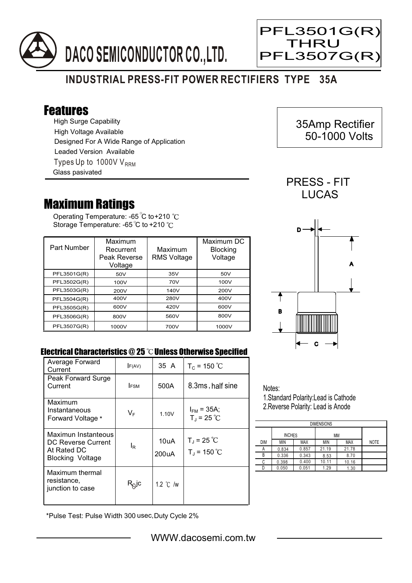



 35Amp Rectifier 50-1000 Volts

Ξ

## **INDUSTRIAL PRESS-FIT POWER RECTIFIERS TYPE 35A**

## Features

High Surge Capability Types Up to 1000V  $V_{RRM}$ High Voltage Available Designed For A Wide Range of Application Leaded Version Available Glass pasivated

## Maximum Ratings

Operating Temperature: -65 C to +210 Storage Temperature: -65 $\degree$ C to +210 $\degree$ C

| Part Number | Maximum<br>Recurrent<br>Peak Reverse<br>Voltage | Maximum<br><b>RMS Voltage</b> | Maximum DC<br><b>Blocking</b><br>Voltage |
|-------------|-------------------------------------------------|-------------------------------|------------------------------------------|
| PFL3501G(R) | 50V                                             | 35V                           | 50V                                      |
| PFL3502G(R) | 100V                                            | 70V                           | 100V                                     |
| PFL3503G(R) | 200V                                            | 140V                          | 200V                                     |
| PFL3504G(R) | 400V                                            | 280V                          | 400V                                     |
| PFL3505G(R) | 600V                                            | 420V                          | 600V                                     |
| PFL3506G(R) | 800V                                            | 560V                          | 800V                                     |
| PFL3507G(R) | 1000V                                           | 700V                          | 1000V                                    |



PRESS - FIT



## Electrical Characteristics  $@25$   $^{\circ}\text{C}$  Unless Otherwise Specified

| Average Forward<br>Current                                                          | F(AV)       | 35 A               | $T_c = 150 °C$                   |
|-------------------------------------------------------------------------------------|-------------|--------------------|----------------------------------|
| Peak Forward Surge<br>Current                                                       | <b>IFSM</b> | 500A               | 8.3ms, half sine                 |
| Maximum<br>Instantaneous<br>Forward Voltage *                                       | VF          | 1.10V              | $I_{FM}$ = 35A;<br>$T_d = 25 °C$ |
| Maximun Instanteous<br>DC Reverse Current<br>At Rated DC<br><b>Blocking Voltage</b> | le          | 10uA<br>200uA      | $T_J = 25 °C$<br>$T_J = 150 °C$  |
| Maximum thermal<br>resistance.<br>junction to case                                  | $R^{O}$ lc  | 1.2 $\degree$ C /w |                                  |

Notes:

1.Standard Polarity:Lead is Cathode 2.Reverse Polarity: Lead is Anode

| <b>DIMENSIONS</b> |               |            |       |            |             |  |  |  |
|-------------------|---------------|------------|-------|------------|-------------|--|--|--|
|                   | <b>INCHES</b> |            | ΜМ    |            |             |  |  |  |
| <b>DIM</b>        | ΜIΝ           | <b>MAX</b> | ΜIΝ   | <b>MAX</b> | <b>NOTE</b> |  |  |  |
| А                 | 0.834         | 0.857      | 21.19 | 21.78      |             |  |  |  |
| В                 | 0.336         | 0.343      | 8.53  | 8.70       |             |  |  |  |
| C                 | 0.398         | 0.400      | 10.11 | 10.16      |             |  |  |  |
|                   | 0.050         | 0.051      | 1.29  | 1.30       |             |  |  |  |

\*Pulse Test: Pulse Width 300 usec,Duty Cycle 2%